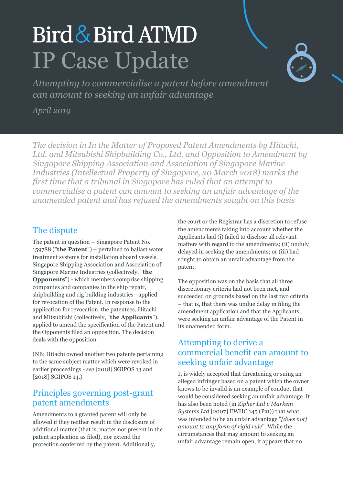# Bird & Bird ATMD IP Case Update



*Attempting to commercialise a patent before amendment can amount to seeking an unfair advantage*

*April 2019*

*The decision in In the Matter of Proposed Patent Amendments by Hitachi, Ltd. and Mitsubishi Shipbuilding Co., Ltd. and Opposition to Amendment by Singapore Shipping Association and Association of Singapore Marine Industries (Intellectual Property of Singapore, 20 March 2018) marks the first time that a tribunal in Singapore has ruled that an attempt to commercialise a patent can amount to seeking an unfair advantage of the unamended patent and has refused the amendments sought on this basis*

### The dispute

The patent in question – Singapore Patent No. 159788 ("**the Patent**") – pertained to ballast water treatment systems for installation aboard vessels. Singapore Shipping Association and Association of Singapore Marine Industries (collectively, "**the Opponents**") - which members comprise shipping companies and companies in the ship repair, shipbuilding and rig building industries - applied for revocation of the Patent. In response to the application for revocation, the patentees, Hitachi and Mitsubitshi (collectively, "**the Applicants**"), applied to amend the specification of the Patent and the Opponents filed an opposition. The decision deals with the opposition.

(NB: Hitachi owned another two patents pertaining to the same subject matter which were revoked in earlier proceedings - *see* [2018] SGIPOS 13 and [2018] SGIPOS 14.)

### Principles governing post-grant patent amendments

Amendments to a granted patent will only be allowed if they neither result in the disclosure of additional matter (that is, matter not present in the patent application as filed), nor extend the protection conferred by the patent. Additionally,

the court or the Registrar has a discretion to refuse the amendments taking into account whether the Applicants had (i) failed to disclose all relevant matters with regard to the amendments; (ii) unduly delayed in seeking the amendments; or (iii) had sought to obtain an unfair advantage from the patent.

The opposition was on the basis that all three discretionary criteria had not been met, and succeeded on grounds based on the last two criteria – that is, that there was undue delay in filing the amendment application and that the Applicants were seeking an unfair advantage of the Patent in its unamended form.

#### Attempting to derive a commercial benefit can amount to seeking unfair advantage

It is widely accepted that threatening or suing an alleged infringer based on a patent which the owner knows to be invalid is an example of conduct that would be considered seeking an unfair advantage. It has also been noted (in *Zipher Ltd v Markem Systems Ltd* [2007] EWHC 145 (Pat)) that what was intended to be an unfair advantage "*[does not] amount to any form of rigid rule*". While the circumstances that may amount to seeking an unfair advantage remain open, it appears that no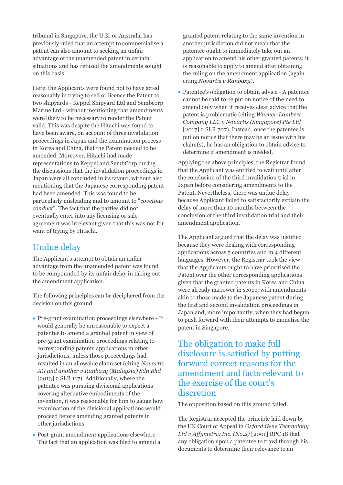tribunal in Singapore, the U.K. or Australia has previously ruled that an attempt to commercialise a patent can also amount to seeking an unfair advantage of the unamended patent in certain situations and has refused the amendments sought on this basis.

Here, the Applicants were found not to have acted reasonably in trying to sell or licence the Patent to two shipyards - Keppel Shipyard Ltd and Sembcorp Marine Ltd - without mentioning that amendments were likely to be necessary to render the Patent valid. This was despite the Hitachi was found to have been aware, on account of three invalidation proceedings in Japan and the examination process in Korea and China, that the Patent needed to be amended. Moreover, Hitachi had made representations to Keppel and SembCorp during the discussions that the invalidation proceedings in Japan were all concluded in its favour, without also mentioning that the Japanese corresponding patent had been amended. This was found to be particularly misleading and to amount to "*covetous conduct*". The fact that the parties did not eventually enter into any licensing or sale agreement was irrelevant given that this was not for want of trying by Hitachi.

### Undue delay

The Applicant's attempt to obtain an unfair advantage from the unamended patent was found to be compounded by its unfair delay in taking out the amendment application.

The following principles can be deciphered from the decision on this ground:

- Pre-grant examination proceedings elsewhere It would generally be unreasonable to expect a patentee to amend a granted patent in view of pre-grant examination proceedings relating to corresponding patents applications in other jurisdictions, unless those proceedings had resulted in an allowable claim set (citing *Novartis AG and another v Ranbaxy (Malaysia) Sdn Bhd* [2013] 2 SLR 117). Additionally, where the patentee was pursuing divisional applications covering alternative embodiments of the invention, it was reasonable for him to gauge how examination of the divisional applications would proceed before amending granted patents in other jurisdictions.
- Post-grant amendment applications elsewhere The fact that an application was filed to amend a

granted patent relating to the same invention in another jurisdiction did not mean that the patentee ought to immediately take out an application to amend his other granted patents; it is reasonable to apply to amend after obtaining the ruling on the amendment application (again citing *Novartis v Ranbaxy*).

 Patentee's obligation to obtain advice - A patentee cannot be said to be put on notice of the need to amend only when it receives clear advice that the patent is problematic (citing *Warner-Lambert Company LLC v Novartis (Singapore) Pte Ltd* [2017] 2 SLR 707). Instead, once the patentee is put on notice that there may be an issue with his claim(s), he has an obligation to obtain advice to determine if amendment is needed.

Applying the above principles, the Registrar found that the Applicant was entitled to wait until after the conclusion of the third invalidation trial in Japan before considering amendments to the Patent. Nevertheless, there was undue delay because Applicant failed to satisfactorily explain the delay of more than 10 months between the conclusion of the third invalidation trial and their amendment application.

The Applicant argued that the delay was justified because they were dealing with corresponding applications across 5 countries and in 4 different languages. However, the Registrar took the view that the Applicants ought to have prioritised the Patent over the other corresponding applications given that the granted patents in Korea and China were already narrower in scope, with amendments akin to those made to the Japanese patent during the first and second invalidation proceedings in Japan and, more importantly, when they had begun to push forward with their attempts to monetise the patent in Singapore.

#### The obligation to make full disclosure is satisfied by putting forward correct reasons for the amendment and facts relevant to the exercise of the court's discretion

The opposition based on this ground failed.

The Registrar accepted the principle laid down by the UK Court of Appeal in *Oxford Gene Technology Ltd v Affymetrix Inc. (No.2)* [2001] RPC 18 that any obligation upon a patentee to trawl through his documents to determine their relevance to an